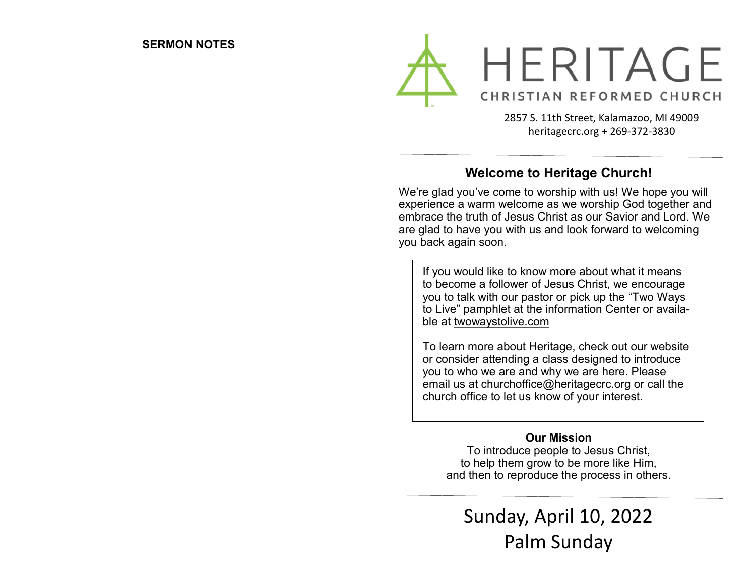

2857 S. 11th Street, Kalamazoo, MI 49009 heritagecrc.org + 269-372-3830

### **Welcome to Heritage Church!**

We're glad you've come to worship with us! We hope you will experience a warm welcome as we worship God together and embrace the truth of Jesus Christ as our Savior and Lord. We are glad to have you with us and look forward to welcoming you back again soon.

If you would like to know more about what it means to become a follower of Jesus Christ, we encourage you to talk with our pastor or pick up the "Two Ways to Live" pamphlet at the information Center or available at twowaystolive.com

To learn more about Heritage, check out our website or consider attending a class designed to introduce you to who we are and why we are here. Please email us at churchoffice@heritagecrc.org or call the church office to let us know of your interest.

#### **Our Mission**

To introduce people to Jesus Christ, to help them grow to be more like Him, and then to reproduce the process in others.

Sunday, April 10, 2022 Palm Sunday